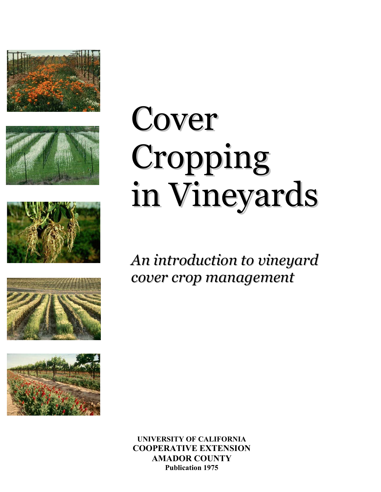









# Cover Cropping in Vineyards

## *An introduction to vineyard cover crop management*

**UNIVERSITY OF CALIFORNIA COOPERATIVE EXTENSION AMADOR COUNTY Publication 1975**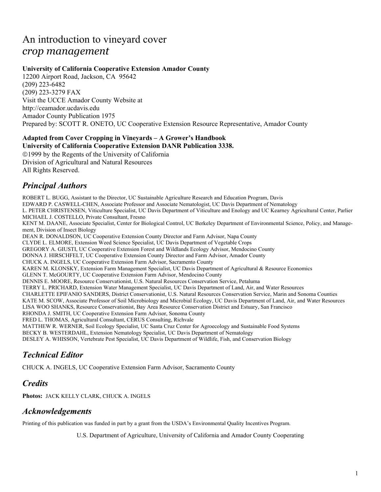## An introduction to vineyard cover *crop management*

#### **University of California Cooperative Extension Amador County**

12200 Airport Road, Jackson, CA 95642 (209) 223-6482 (209) 223-3279 FAX Visit the UCCE Amador County Website at http://ceamador.ucdavis.edu Amador County Publication 1975 Prepared by: SCOTT R. ONETO, UC Cooperative Extension Resource Representative, Amador County

#### **Adapted from Cover Cropping in Vineyards – A Grower's Handbook University of California Cooperative Extension DANR Publication 3338.**

1999 by the Regents of the University of California Division of Agricultural and Natural Resources All Rights Reserved.

## *Principal Authors*

ROBERT L. BUGG, Assistant to the Director, UC Sustainable Agriculture Research and Education Program, Davis EDWARD P. CASWELL-CHEN, Associate Professor and Associate Nematologist, UC Davis Department of Nematology L. PETER CHRISTENSEN, Viticulture Specialist, UC Davis Department of Viticulture and Enology and UC Kearney Agricultural Center, Parlier MICHAEL J. COSTELLO, Private Consultant, Fresno KENT M. DAANE, Associate Specialist, Center for Biological Control, UC Berkeley Department of Environmental Science, Policy, and Management, Division of Insect Biology DEAN R. DONALDSON, UC Cooperative Extension County Director and Farm Advisor, Napa County CLYDE L. ELMORE, Extension Weed Science Specialist, UC Davis Department of Vegetable Crops GREGORY A. GIUSTI, UC Cooperative Extension Forest and Wildlands Ecology Advisor, Mendocino County DONNA J. HIRSCHFELT, UC Cooperative Extension County Director and Farm Advisor, Amador County CHUCK A. INGELS, UC Cooperative Extension Farm Advisor, Sacramento County KAREN M. KLONSKY, Extension Farm Management Specialist, UC Davis Department of Agricultural & Resource Economics GLENN T. McGOURTY, UC Cooperative Extension Farm Advisor, Mendocino County DENNIS E. MOORE, Resource Conservationist, U.S. Natural Resources Conservation Service, Petaluma TERRY L. PRICHARD, Extension Water Management Specialist, UC Davis Department of Land, Air, and Water Resources CHARLETTE EPIFANIO SANDERS, District Conservationist, U.S. Natural Resources Conservation Service, Marin and Sonoma Counties KATE M. SCOW, Associate Professor of Soil Microbiology and Microbial Ecology, UC Davis Department of Land, Air, and Water Resources LISA WOO SHANKS, Resource Conservationist, Bay Area Resource Conservation District and Estuary, San Francisco RHONDA J. SMITH, UC Cooperative Extension Farm Advisor, Sonoma County FRED L. THOMAS, Agricultural Consultant, CERUS Consulting, Richvale MATTHEW R. WERNER, Soil Ecology Specialist, UC Santa Cruz Center for Agroecology and Sustainable Food Systems BECKY B. WESTERDAHL, Extension Nematology Specialist, UC Davis Department of Nematology DESLEY A. WHISSON, Vertebrate Pest Specialist, UC Davis Department of Wildlife, Fish, and Conservation Biology

## *Technical Editor*

CHUCK A. INGELS, UC Cooperative Extension Farm Advisor, Sacramento County

## *Credits*

**Photos:** JACK KELLY CLARK, CHUCK A. INGELS

## *Acknowledgements*

Printing of this publication was funded in part by a grant from the USDA's Environmental Quality Incentives Program.

U.S. Department of Agriculture, University of California and Amador County Cooperating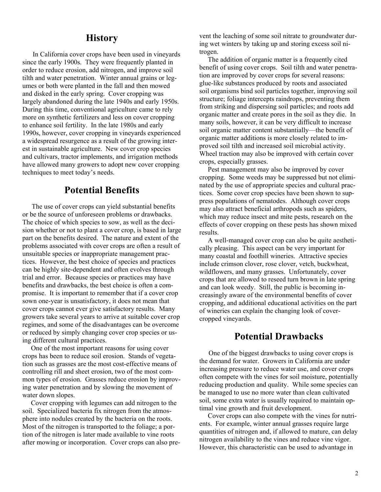## **History**

 In California cover crops have been used in vineyards since the early 1900s. They were frequently planted in order to reduce erosion, add nitrogen, and improve soil tilth and water penetration. Winter annual grains or legumes or both were planted in the fall and then mowed and disked in the early spring. Cover cropping was largely abandoned during the late 1940s and early 1950s. During this time, conventional agriculture came to rely more on synthetic fertilizers and less on cover cropping to enhance soil fertility. In the late 1980s and early 1990s, however, cover cropping in vineyards experienced a widespread resurgence as a result of the growing interest in sustainable agriculture. New cover crop species and cultivars, tractor implements, and irrigation methods have allowed many growers to adopt new cover cropping techniques to meet today's needs.

## **Potential Benefits**

 The use of cover crops can yield substantial benefits or be the source of unforeseen problems or drawbacks. The choice of which species to sow, as well as the decision whether or not to plant a cover crop, is based in large part on the benefits desired. The nature and extent of the problems associated with cover crops are often a result of unsuitable species or inappropriate management practices. However, the best choice of species and practices can be highly site-dependent and often evolves through trial and error. Because species or practices may have benefits and drawbacks, the best choice is often a compromise. It is important to remember that if a cover crop sown one-year is unsatisfactory, it does not mean that cover crops cannot ever give satisfactory results. Many growers take several years to arrive at suitable cover crop regimes, and some of the disadvantages can be overcome or reduced by simply changing cover crop species or using different cultural practices.

 One of the most important reasons for using cover crops has been to reduce soil erosion. Stands of vegetation such as grasses are the most cost-effective means of controlling rill and sheet erosion, two of the most common types of erosion. Grasses reduce erosion by improving water penetration and by slowing the movement of water down slopes.

 Cover cropping with legumes can add nitrogen to the soil. Specialized bacteria fix nitrogen from the atmosphere into nodules created by the bacteria on the roots. Most of the nitrogen is transported to the foliage; a portion of the nitrogen is later made available to vine roots after mowing or incorporation. Cover crops can also prevent the leaching of some soil nitrate to groundwater during wet winters by taking up and storing excess soil nitrogen.

 The addition of organic matter is a frequently cited benefit of using cover crops. Soil tilth and water penetration are improved by cover crops for several reasons: glue-like substances produced by roots and associated soil organisms bind soil particles together, improving soil structure; foliage intercepts raindrops, preventing them from striking and dispersing soil particles; and roots add organic matter and create pores in the soil as they die. In many soils, however, it can be very difficult to increase soil organic matter content substantially—the benefit of organic matter additions is more closely related to improved soil tilth and increased soil microbial activity. Wheel traction may also be improved with certain cover crops, especially grasses.

 Pest management may also be improved by cover cropping. Some weeds may be suppressed but not eliminated by the use of appropriate species and cultural practices. Some cover crop species have been shown to suppress populations of nematodes. Although cover crops may also attract beneficial arthropods such as spiders, which may reduce insect and mite pests, research on the effects of cover cropping on these pests has shown mixed results.

 A well-managed cover crop can also be quite aesthetically pleasing. This aspect can be very important for many coastal and foothill wineries. Attractive species include crimson clover, rose clover, vetch, buckwheat, wildflowers, and many grasses. Unfortunately, cover crops that are allowed to reseed turn brown in late spring and can look weedy. Still, the public is becoming increasingly aware of the environmental benefits of cover cropping, and additional educational activities on the part of wineries can explain the changing look of covercropped vineyards.

## **Potential Drawbacks**

 One of the biggest drawbacks to using cover crops is the demand for water. Growers in California are under increasing pressure to reduce water use, and cover crops often compete with the vines for soil moisture, potentially reducing production and quality. While some species can be managed to use no more water than clean cultivated soil, some extra water is usually required to maintain optimal vine growth and fruit development.

 Cover crops can also compete with the vines for nutrients. For example, winter annual grasses require large quantities of nitrogen and, if allowed to mature, can delay nitrogen availability to the vines and reduce vine vigor. However, this characteristic can be used to advantage in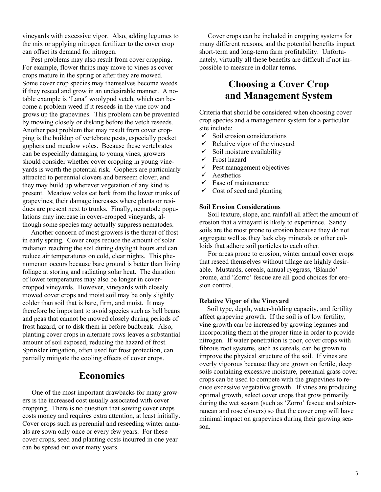vineyards with excessive vigor. Also, adding legumes to the mix or applying nitrogen fertilizer to the cover crop can offset its demand for nitrogen.

 Pest problems may also result from cover cropping. For example, flower thrips may move to vines as cover crops mature in the spring or after they are mowed. Some cover crop species may themselves become weeds if they reseed and grow in an undesirable manner. A notable example is 'Lana" woolypod vetch, which can become a problem weed if it reseeds in the vine row and grows up the grapevines. This problem can be prevented by mowing closely or disking before the vetch reseeds. Another pest problem that may result from cover cropping is the buildup of vertebrate pests, especially pocket gophers and meadow voles. Because these vertebrates can be especially damaging to young vines, growers should consider whether cover cropping in young vineyards is worth the potential risk. Gophers are particularly attracted to perennial clovers and berseem clover, and they may build up wherever vegetation of any kind is present. Meadow voles eat bark from the lower trunks of grapevines; their damage increases where plants or residues are present next to trunks. Finally, nematode populations may increase in cover-cropped vineyards, although some species may actually suppress nematodes.

 Another concern of most growers is the threat of frost in early spring. Cover crops reduce the amount of solar radiation reaching the soil during daylight hours and can reduce air temperatures on cold, clear nights. This phenomenon occurs because bare ground is better than living foliage at storing and radiating solar heat. The duration of lower temperatures may also be longer in covercropped vineyards. However, vineyards with closely mowed cover crops and moist soil may be only slightly colder than soil that is bare, firm, and moist. It may therefore be important to avoid species such as bell beans and peas that cannot be mowed closely during periods of frost hazard, or to disk them in before budbreak. Also, planting cover crops in alternate rows leaves a substantial amount of soil exposed, reducing the hazard of frost. Sprinkler irrigation, often used for frost protection, can partially mitigate the cooling effects of cover crops.

## **Economics**

 One of the most important drawbacks for many growers is the increased cost usually associated with cover cropping. There is no question that sowing cover crops costs money and requires extra attention, at least initially. Cover crops such as perennial and reseeding winter annuals are sown only once or every few years. For these cover crops, seed and planting costs incurred in one year can be spread out over many years.

 Cover crops can be included in cropping systems for many different reasons, and the potential benefits impact short-term and long-term farm profitability. Unfortunately, virtually all these benefits are difficult if not impossible to measure in dollar terms.

## **Choosing a Cover Crop and Management System**

Criteria that should be considered when choosing cover crop species and a management system for a particular site include:

- $\checkmark$  Soil erosion considerations
- $\checkmark$  Relative vigor of the vineyard
- $\checkmark$  Soil moisture availability
- $\checkmark$  Frost hazard
- $\checkmark$  Pest management objectives
- $\checkmark$  Aesthetics
- $\checkmark$  Ease of maintenance
- $\checkmark$  Cost of seed and planting

#### **Soil Erosion Considerations**

 Soil texture, slope, and rainfall all affect the amount of erosion that a vineyard is likely to experience. Sandy soils are the most prone to erosion because they do not aggregate well as they lack clay minerals or other colloids that adhere soil particles to each other.

 For areas prone to erosion, winter annual cover crops that reseed themselves without tillage are highly desirable. Mustards, cereals, annual ryegrass, 'Blando' brome, and 'Zorro' fescue are all good choices for erosion control.

#### **Relative Vigor of the Vineyard**

 Soil type, depth, water-holding capacity, and fertility affect grapevine growth. If the soil is of low fertility, vine growth can be increased by growing legumes and incorporating them at the proper time in order to provide nitrogen. If water penetration is poor, cover crops with fibrous root systems, such as cereals, can be grown to improve the physical structure of the soil. If vines are overly vigorous because they are grown on fertile, deep soils containing excessive moisture, perennial grass cover crops can be used to compete with the grapevines to reduce excessive vegetative growth. If vines are producing optimal growth, select cover crops that grow primarily during the wet season (such as 'Zorro' fescue and subterranean and rose clovers) so that the cover crop will have minimal impact on grapevines during their growing season.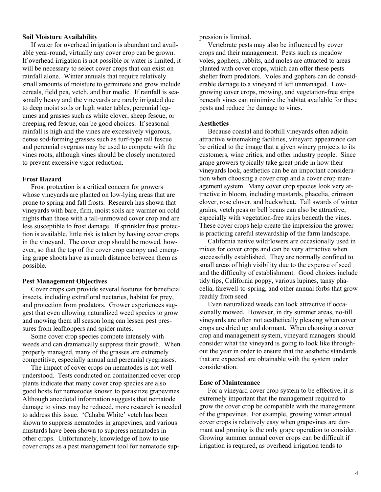#### **Soil Moisture Availability**

 If water for overhead irrigation is abundant and available year-round, virtually any cover crop can be grown. If overhead irrigation is not possible or water is limited, it will be necessary to select cover crops that can exist on rainfall alone. Winter annuals that require relatively small amounts of moisture to germinate and grow include cereals, field pea, vetch, and bur medic. If rainfall is seasonally heavy and the vineyards are rarely irrigated due to deep moist soils or high water tables, perennial legumes and grasses such as white clover, sheep fescue, or creeping red fescue, can be good choices. If seasonal rainfall is high and the vines are excessively vigorous, dense sod-forming grasses such as turf-type tall fescue and perennial ryegrass may be used to compete with the vines roots, although vines should be closely monitored to prevent excessive vigor reduction.

#### **Frost Hazard**

 Frost protection is a critical concern for growers whose vineyards are planted on low-lying areas that are prone to spring and fall frosts. Research has shown that vineyards with bare, firm, moist soils are warmer on cold nights than those with a tall-unmowed cover crop and are less susceptible to frost damage. If sprinkler frost protection is available, little risk is taken by having cover crops in the vineyard. The cover crop should be mowed, however, so that the top of the cover crop canopy and emerging grape shoots have as much distance between them as possible.

#### **Pest Management Objectives**

 Cover crops can provide several features for beneficial insects, including extrafloral nectaries, habitat for prey, and protection from predators. Grower experiences suggest that even allowing naturalized weed species to grow and mowing them all season long can lessen pest pressures from leafhoppers and spider mites.

 Some cover crop species compete intensely with weeds and can dramatically suppress their growth. When properly managed, many of the grasses are extremely competitive, especially annual and perennial ryegrasses.

 The impact of cover crops on nematodes is not well understood. Tests conducted on containerized cover crop plants indicate that many cover crop species are also good hosts for nematodes known to parasitize grapevines. Although anecdotal information suggests that nematode damage to vines may be reduced, more research is needed to address this issue. 'Cahaba White' vetch has been shown to suppress nematodes in grapevines, and various mustards have been shown to suppress nematodes in other crops. Unfortunately, knowledge of how to use cover crops as a pest management tool for nematode suppression is limited.

 Vertebrate pests may also be influenced by cover crops and their management. Pests such as meadow voles, gophers, rabbits, and moles are attracted to areas planted with cover crops, which can offer these pests shelter from predators. Voles and gophers can do considerable damage to a vineyard if left unmanaged. Lowgrowing cover crops, mowing, and vegetation-free strips beneath vines can minimize the habitat available for these pests and reduce the damage to vines.

#### **Aesthetics**

 Because coastal and foothill vineyards often adjoin attractive winemaking facilities, vineyard appearance can be critical to the image that a given winery projects to its customers, wine critics, and other industry people. Since grape growers typically take great pride in how their vineyards look, aesthetics can be an important consideration when choosing a cover crop and a cover crop management system. Many cover crop species look very attractive in bloom, including mustards, phacelia, crimson clover, rose clover, and buckwheat. Tall swards of winter grains, vetch peas or bell beans can also be attractive, especially with vegetation-free strips beneath the vines. These cover crops help create the impression the grower is practicing careful stewardship of the farm landscape.

 California native wildflowers are occasionally used in mixes for cover crops and can be very attractive when successfully established. They are normally confined to small areas of high visibility due to the expense of seed and the difficulty of establishment. Good choices include tidy tips, California poppy, various lupines, tansy phacelia, farewell-to-spring, and other annual forbs that grow readily from seed.

 Even naturalized weeds can look attractive if occasionally mowed. However, in dry summer areas, no-till vineyards are often not aesthetically pleasing when cover crops are dried up and dormant. When choosing a cover crop and management system, vineyard managers should consider what the vineyard is going to look like throughout the year in order to ensure that the aesthetic standards that are expected are obtainable with the system under consideration.

#### **Ease of Maintenance**

 For a vineyard cover crop system to be effective, it is extremely important that the management required to grow the cover crop be compatible with the management of the grapevines. For example, growing winter annual cover crops is relatively easy when grapevines are dormant and pruning is the only grape operation to consider. Growing summer annual cover crops can be difficult if irrigation is required, as overhead irrigation tends to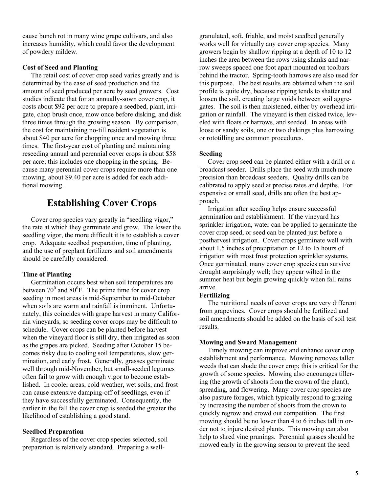cause bunch rot in many wine grape cultivars, and also increases humidity, which could favor the development of powdery mildew.

#### **Cost of Seed and Planting**

 The retail cost of cover crop seed varies greatly and is determined by the ease of seed production and the amount of seed produced per acre by seed growers. Cost studies indicate that for an annually-sown cover crop, it costs about \$92 per acre to prepare a seedbed, plant, irrigate, chop brush once, mow once before disking, and disk three times through the growing season. By comparison, the cost for maintaining no-till resident vegetation is about \$40 per acre for chopping once and mowing three times. The first-year cost of planting and maintaining reseeding annual and perennial cover crops is about \$58 per acre; this includes one chopping in the spring. Because many perennial cover crops require more than one mowing, about \$9.40 per acre is added for each additional mowing.

## **Establishing Cover Crops**

 Cover crop species vary greatly in "seedling vigor," the rate at which they germinate and grow. The lower the seedling vigor, the more difficult it is to establish a cover crop. Adequate seedbed preparation, time of planting, and the use of preplant fertilizers and soil amendments should be carefully considered.

#### **Time of Planting**

 Germination occurs best when soil temperatures are between  $70^{\circ}$  and  $80^{\circ}$ F. The prime time for cover crop seeding in most areas is mid-September to mid-October when soils are warm and rainfall is imminent. Unfortunately, this coincides with grape harvest in many California vineyards, so seeding cover crops may be difficult to schedule. Cover crops can be planted before harvest when the vineyard floor is still dry, then irrigated as soon as the grapes are picked. Seeding after October 15 becomes risky due to cooling soil temperatures, slow germination, and early frost. Generally, grasses germinate well through mid-November, but small-seeded legumes often fail to grow with enough vigor to become established. In cooler areas, cold weather, wet soils, and frost can cause extensive damping-off of seedlings, even if they have successfully germinated. Consequently, the earlier in the fall the cover crop is seeded the greater the likelihood of establishing a good stand.

#### **Seedbed Preparation**

 Regardless of the cover crop species selected, soil preparation is relatively standard. Preparing a wellgranulated, soft, friable, and moist seedbed generally works well for virtually any cover crop species. Many growers begin by shallow ripping at a depth of 10 to 12 inches the area between the rows using shanks and narrow sweeps spaced one foot apart mounted on toolbars behind the tractor. Spring-tooth harrows are also used for this purpose. The best results are obtained when the soil profile is quite dry, because ripping tends to shatter and loosen the soil, creating large voids between soil aggregates. The soil is then moistened, either by overhead irrigation or rainfall. The vineyard is then disked twice, leveled with floats or harrows, and seeded. In areas with loose or sandy soils, one or two diskings plus harrowing or rototilling are common procedures.

#### **Seeding**

 Cover crop seed can be planted either with a drill or a broadcast seeder. Drills place the seed with much more precision than broadcast seeders. Quality drills can be calibrated to apply seed at precise rates and depths. For expensive or small seed, drills are often the best approach.

 Irrigation after seeding helps ensure successful germination and establishment. If the vineyard has sprinkler irrigation, water can be applied to germinate t he cover crop seed, or seed can be planted just before a postharvest irrigation. Cover crops germinate well with about 1.5 inches of precipitation or 12 to 15 hours of irrigation with most frost protection sprinkler systems. Once germinated, many cover crop species can survive drought surprisingly well; they appear wilted in the summer heat but begin growing quickly when fall rains arrive.

#### **Fertilizing**

 The nutritional needs of cover crops are very different from grapevines. Cover crops should be fertilized and soil amendments should be added on the basis of soil test results.

#### **Mowing and Sward Management**

 Timely mowing can improve and enhance cover crop establishment and performance. Mowing removes taller weeds that can shade the cover crop; this is critical for the growth of some species. Mowing also encourages tillering (the growth of shoots from the crown of the plant), spreading, and flowering. Many cover crop species are also pasture forages, which typically respond to grazing by increasing the number of shoots from the crown to quickly regrow and crowd out competition. The first mowing should be no lower than 4 to 6 inches tall in order not to injure desired plants. This mowing can also help to shred vine prunings. Perennial grasses should be mowed early in the growing season to prevent the seed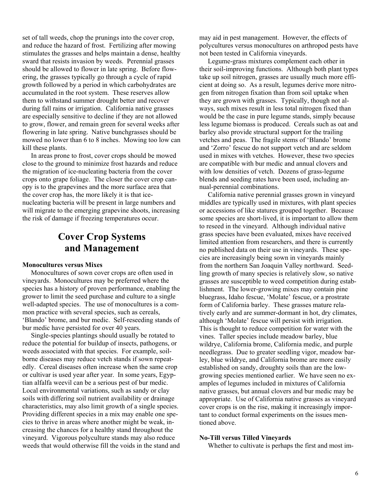set of tall weeds, chop the prunings into the cover crop, and reduce the hazard of frost. Fertilizing after mowing stimulates the grasses and helps maintain a dense, healthy sward that resists invasion by weeds. Perennial grasses should be allowed to flower in late spring. Before flowering, the grasses typically go through a cycle of rapid growth followed by a period in which carbohydrates are accumulated in the root system. These reserves allow them to withstand summer drought better and recover during fall rains or irrigation. California native grasses are especially sensitive to decline if they are not allowed to grow, flower, and remain green for several weeks after flowering in late spring. Native bunchgrasses should be mowed no lower than 6 to 8 inches. Mowing too low can kill these plants.

 In areas prone to frost, cover crops should be mowed close to the ground to minimize frost hazards and reduce the migration of ice-nucleating bacteria from the cover crops onto grape foliage. The closer the cover crop canopy is to the grapevines and the more surface area that the cover crop has, the more likely it is that icenucleating bacteria will be present in large numbers and will migrate to the emerging grapevine shoots, increasing the risk of damage if freezing temperatures occur.

## **Cover Crop Systems and Management**

#### **Monocultures versus Mixes**

 Monocultures of sown cover crops are often used in vineyards. Monocultures may be preferred where the species has a history of proven performance, enabling the grower to limit the seed purchase and culture to a single well-adapted species. The use of monocultures is a common practice with several species, such as cereals, 'Blando' brome, and bur medic. Self-reseeding stands of bur medic have persisted for over 40 years.

 Single-species plantings should usually be rotated to reduce the potential for buildup of insects, pathogens, or weeds associated with that species. For example, soilborne diseases may reduce vetch stands if sown repeatedly. Cereal diseases often increase when the same crop or cultivar is used year after year. In some years, Egyptian alfalfa weevil can be a serious pest of bur medic. Local environmental variations, such as sandy or clay soils with differing soil nutrient availability or drainage characteristics, may also limit growth of a single species. Providing different species in a mix may enable one species to thrive in areas where another might be weak, increasing the chances for a healthy stand throughout the vineyard. Vigorous polyculture stands may also reduce weeds that would otherwise fill the voids in the stand and may aid in pest management. However, the effects of polycultures versus monocultures on arthropod pests have not been tested in California vineyards.

 Legume-grass mixtures complement each other in their soil-improving functions. Although both plant types take up soil nitrogen, grasses are usually much more efficient at doing so. As a result, legumes derive more nitrogen from nitrogen fixation than from soil uptake when they are grown with grasses. Typically, though not always, such mixes result in less total nitrogen fixed than would be the case in pure legume stands, simply because less legume biomass is produced. Cereals such as oat and barley also provide structural support for the trailing vetches and peas. The fragile stems of 'Blando' brome and 'Zorro' fescue do not support vetch and are seldom used in mixes with vetches. However, these two species are compatible with bur medic and annual clovers and with low densities of vetch. Dozens of grass-legume blends and seeding rates have been used, including annual-perennial combinations.

 California native perennial grasses grown in vineyard middles are typically used in mixtures, with plant species or accessions of like statures grouped together. Because some species are short-lived, it is important to allow them to reseed in the vineyard. Although individual native grass species have been evaluated, mixes have received limited attention from researchers, and there is currently no published data on their use in vineyards. These species are increasingly being sown in vineyards mainly from the northern San Joaquin Valley northward. Seedling growth of many species is relatively slow, so native grasses are susceptible to weed competition during establishment. The lower-growing mixes may contain pine bluegrass, Idaho fescue, 'Molate' fescue, or a prostrate form of California barley. These grasses mature relatively early and are summer-dormant in hot, dry climates, although 'Molate' fescue will persist with irrigation. This is thought to reduce competition for water with the vines. Taller species include meadow barley, blue wildrye, California brome, California medic, and purple needlegrass. Due to greater seedling vigor, meadow barley, blue wildrye, and California brome are more easily established on sandy, droughty soils than are the lowgrowing species mentioned earlier. We have seen no examples of legumes included in mixtures of California native grasses, but annual clovers and bur medic may be appropriate. Use of California native grasses as vineyard cover crops is on the rise, making it increasingly important to conduct formal experiments on the issues mentioned above.

#### **No-Till versus Tilled Vineyards**

Whether to cultivate is perhaps the first and most im-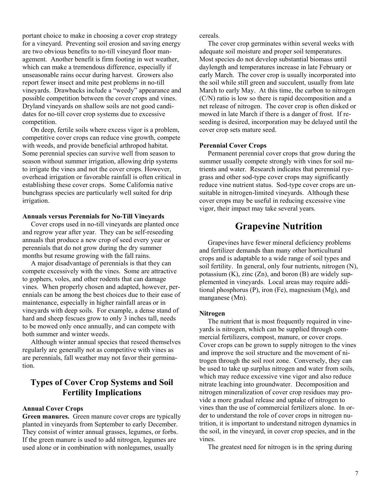portant choice to make in choosing a cover crop strategy for a vineyard. Preventing soil erosion and saving energy are two obvious benefits to no-till vineyard floor management. Another benefit is firm footing in wet weather, which can make a tremendous difference, especially if unseasonable rains occur during harvest. Growers also report fewer insect and mite pest problems in no-till vineyards. Drawbacks include a "weedy" appearance and possible competition between the cover crops and vines. Dryland vineyards on shallow soils are not good candidates for no-till cover crop systems due to excessive competition.

 On deep, fertile soils where excess vigor is a problem, competitive cover crops can reduce vine growth, compete with weeds, and provide beneficial arthropod habitat. Some perennial species can survive well from season to season without summer irrigation, allowing drip systems to irrigate the vines and not the cover crops. However, overhead irrigation or favorable rainfall is often critical in establishing these cover crops. Some California native bunchgrass species are particularly well suited for drip irrigation.

#### **Annuals versus Perennials for No-Till Vineyards**

 Cover crops used in no-till vineyards are planted once and regrow year after year. They can be self-reseeding annuals that produce a new crop of seed every year or perennials that do not grow during the dry summer months but resume growing with the fall rains.

 A major disadvantage of perennials is that they can compete excessively with the vines. Some are attractive to gophers, voles, and other rodents that can damage vines. When properly chosen and adapted, however, perennials can be among the best choices due to their ease of maintenance, especially in higher rainfall areas or in vineyards with deep soils. For example, a dense stand of hard and sheep fescues grow to only 3 inches tall, needs to be mowed only once annually, and can compete with both summer and winter weeds.

 Although winter annual species that reseed themselves regularly are generally not as competitive with vines as are perennials, fall weather may not favor their germination.

## **Types of Cover Crop Systems and Soil Fertility Implications**

#### **Annual Cover Crops**

**Green manures.** Green manure cover crops are typically planted in vineyards from September to early December. They consist of winter annual grasses, legumes, or forbs. If the green manure is used to add nitrogen, legumes are used alone or in combination with nonlegumes, usually

cereals.

 The cover crop germinates within several weeks with adequate soil moisture and proper soil temperatures. Most species do not develop substantial biomass until daylength and temperatures increase in late February or early March. The cover crop is usually incorporated into the soil while still green and succulent, usually from late March to early May. At this time, the carbon to nitrogen (C/N) ratio is low so there is rapid decomposition and a net release of nitrogen. The cover crop is often disked or mowed in late March if there is a danger of frost. If reseeding is desired, incorporation may be delayed until the cover crop sets mature seed.

#### **Perennial Cover Crops**

 Permanent perennial cover crops that grow during the summer usually compete strongly with vines for soil nutrients and water. Research indicates that perennial ryegrass and other sod-type cover crops may significantly reduce vine nutrient status. Sod-type cover crops are unsuitable in nitrogen-limited vineyards. Although these cover crops may be useful in reducing excessive vine vigor, their impact may take several years.

## **Grapevine Nutrition**

 Grapevines have fewer mineral deficiency problems and fertilizer demands than many other horticultural crops and is adaptable to a wide range of soil types and soil fertility. In general, only four nutrients, nitrogen (N), potassium  $(K)$ , zinc  $(Zn)$ , and boron  $(B)$  are widely supplemented in vineyards. Local areas may require additional phosphorus (P), iron (Fe), magnesium (Mg), and manganese (Mn).

#### **Nitrogen**

 The nutrient that is most frequently required in vineyards is nitrogen, which can be supplied through commercial fertilizers, compost, manure, or cover crops. Cover crops can be grown to supply nitrogen to the vines and improve the soil structure and the movement of nitrogen through the soil root zone. Conversely, they can be used to take up surplus nitrogen and water from soils, which may reduce excessive vine vigor and also reduce nitrate leaching into groundwater. Decomposition and nitrogen mineralization of cover crop residues may provide a more gradual release and uptake of nitrogen to vines than the use of commercial fertilizers alone. In order to understand the role of cover crops in nitrogen n u trition, it is important to understand nitrogen dynamics in the soil, in the vineyard, in cover crop species, and in the vines.

The greatest need for nitrogen is in the spring during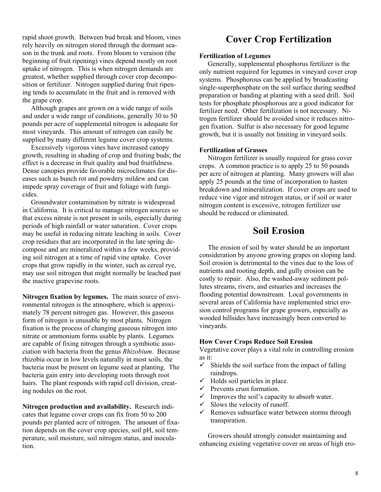rapid shoot growth. Between bud break and bloom, vines rely heavily on nitrogen stored through the dormant season in the trunk and roots. From bloom to veraison (the beginning of fruit ripening) vines depend mostly on root uptake of nitrogen. This is when nitrogen demands are greatest, whether supplied through cover crop d ecompo sition or fertilizer. Nitrogen supplied during fruit ripening tends to accumulate in the fruit and is removed w ith the grape crop.

 Although grapes are grown on a wide range of soils and under a wide range of conditions, generally 30 to 50 pounds per acre of supplemental nitrogen is adequate for most vineyards. This amount of nitrogen can easily be supplied by many different legume cover crop systems.

 Excessively vigorous vines have increased canopy growth, resulting in shading of crop and fruiting buds; the effect is a decrease in fruit quality and bud fruitfulness. Dense canopies provide favorable microclimates for diseases such as bunch rot and powdery mildew and can impede spray coverage of fruit and foliage with fungicides.

 Groundwater contamination by nitrate is widespread in California. It is critical to manage nitrogen sources so that excess nitrate is not present in soils, especially during periods of high rainfall or water saturation. Cover crops may be useful in reducing nitrate leaching in soils. Cover crop residues that are incorporated in the late spring decompose and are mineralized within a few weeks, providing soil nitrogen at a time of rapid vine uptake. Cover crops that grow rapidly in the winter, such as cereal rye, may use soil nitrogen that might normally be leached past the inactive grapevine roots.

**Nitrogen fixation by legumes.** The main source of environmental nitrogen is the atmosphere, which is approximately 78 percent nitrogen gas. However, this gaseous form of nitrogen is unusable by most plants. Nitrogen fixation is the process of changing gaseous nitrogen into nitrate or ammonium forms usable by plants. Legumes are capable of fixing nitrogen through a symbiotic association with bacteria from the genus *Rhizobium*. Because rhizobia occur in low levels naturally in most soils, the bacteria must be present on legume seed at planting. The bacteria gain entry into developing roots through root hairs. The plant responds with rapid cell division, creating nodules on the root.

**Nitrogen production and availability.** Research indicates that legume cover crops can fix from 50 to 200 pounds per planted acre of nitrogen. The amount of fixation depends on the cover crop species, soil pH, soil temperature, soil moisture, soil nitrogen status, and inoculation.

## **Cover Crop Fertilization**

#### **Fertilization of Legumes**

 Generally, supplemental phosphorus fertilizer is the only nutrient required for legumes in vineyard cover crop systems. Phosphorous can be applied by broadcasting single-superphosphate on the soil surface during seedbed preparation or banding at planting with a seed drill. Soil tests for phosphate phosphorous are a good indicator for fertilizer need. Other fertilization is not necessary. Nitrogen fertilizer should be avoided since it reduces nitrogen fixation. Sulfur is also necessary for good legume growth, but it is usually not limiting in vineyard soils.

#### **Fertilization of Grasses**

 Nitrogen fertilizer is usually required for grass cover crops. A common practice is to apply 25 to 50 pounds per acre of nitrogen at planting. Many growers will also apply 25 pounds at the time of incorporation to hasten breakdown and mineralization. If cover crops are used to reduce vine vigor and nitrogen status, or if soil or water nitrogen content is excessive, nitrogen fertilizer use should be reduced or eliminated.

## **Soil Erosion**

 The erosion of soil by water should be an important consideration by anyone growing grapes on sloping land. Soil erosion is detrimental to the vines due to the loss of nutrients and rooting depth, and gully erosion can be costly to repair. Also, the washed-away sediment pollutes streams, rivers, and estuaries and increases the flooding potential downstream. Local governments in several areas of California have implemented strict erosion control programs for grape growers, especially as wooded hillsides have increasingly been converted to vineyards.

#### **How Cover Crops Reduce Soil Erosion**

Vegetative cover plays a vital role in controlling erosion as it:

- $\checkmark$  Shields the soil surface from the impact of falling raindrops.
- $\checkmark$  Holds soil particles in place.
- $\checkmark$  Prevents crust formation.
- $\checkmark$  Improves the soil's capacity to absorb water.
- $\checkmark$  Slows the velocity of runoff.
- $\checkmark$  Removes subsurface water between storms through transpiration.

 Growers should strongly consider maintaining and enhancing existing vegetative cover on areas of high ero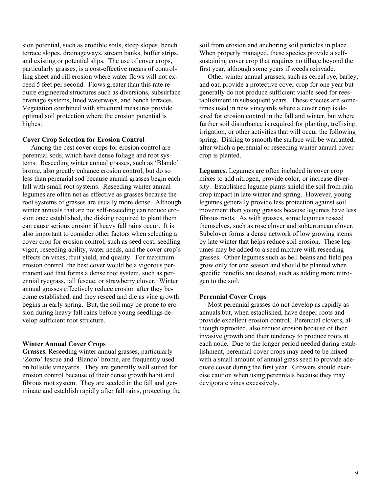sion potential, such as erodible soils, steep slopes, bench terrace slopes, drainageways, stream banks, buffer strips, and existing or potential slips. The use of cover crops, particularly grasses, is a cost-effective means of controlling sheet and rill erosion where water flows will not exceed 5 feet per second. Flows greater than this rate require engineered structures such as diversions, subsurface drainage systems, lined waterways, and bench terraces. Vegetation combined with structural measures provide optimal soil protection where the erosion potential is highest.

#### **Cover Crop Selection for Erosion Control**

 Among the best cover crops for erosion control are perennial sods, which have dense foliage and root systems. Reseeding winter annual grasses, such as 'Blando' brome, also greatly enhance erosion control, but do so less than perennial sod because annual grasses begin each fall with small root systems. Reseeding winter annual legumes are often not as effective as grasses because the root systems of grasses are usually more dense. Although winter annuals that are not self-reseeding can reduce erosion once established, the disking required to plant them can cause serious erosion if heavy fall rains occur. It is also important to consider other factors when selecting a cover crop for erosion control, such as seed cost, seedling vigor, reseeding ability, water needs, and the cover crop's effects on vines, fruit yield, and quality. For maximum erosion control, the best cover would be a vigorous permanent sod that forms a dense root system, such as perennial ryegrass, tall fescue, or strawberry clover. Winter annual grasses effectively reduce erosion after they become established, and they reseed and die as vine growth begins in early spring. But, the soil may be prone to erosion during heavy fall rains before young seedlings develop sufficient root structure.

#### **Winter Annual Cover Crops**

**Grasses.** Reseeding winter annual grasses, particularly 'Zorro' fescue and 'Blando' brome, are frequently used on hillside vineyards. They are generally well suited for erosion control because of their dense growth habit and fibrous root system. They are seeded in the fall and germinate and establish rapidly after fall rains, protecting the soil from erosion and anchoring soil particles in place. When properly managed, these species provide a selfsustaining cover crop that requires no tillage beyond the first year, although some years if weeds reinvade.

 Other winter annual grasses, such as cereal rye, barley, and oat, provide a protective cover crop for one year but generally do not produce sufficient viable seed for reestablishment in subsequent years. These species are sometimes used in new vineyards where a cover crop is desired for erosion control in the fall and winter, but where further soil disturbance is required for planting, trellising, irrigation, or other activities that will occur the following spring. Disking to smooth the surface will be warranted, after which a perennial or reseeding winter annual cover crop is planted.

**Legumes.** Legumes are often included in cover crop mixes to add nitrogen, provide color, or increase diversity. Established legume plants shield the soil from raindrop impact in late winter and spring. However, young legumes generally provide less protection against soil movement than young grasses because legumes have less fibrous roots. As with grasses, some legumes reseed themselves, such as rose clover and subterranean clover. Subclover forms a dense network of low growing stems by late winter that helps reduce soil erosion. These legumes may be added to a seed mixture with reseeding grasses. Other legumes such as bell beans and field pea grow only for one season and should be planted when specific benefits are desired, such as adding more nitrogen to the soil.

#### **Perennial Cover Crops**

 Most perennial grasses do not develop as rapidly as annuals but, when established, have deeper roots and provide excellent erosion control. Perennial clovers, although taprooted, also reduce erosion because of their invasive growth and their tendency to produce roots at each node. Due to the longer period needed during establishment, perennial cover crops may need to be mixed with a small amount of annual grass seed to provide adequate cover during the first year. Growers should exercise caution when using perennials because they may devigorate vines excessively.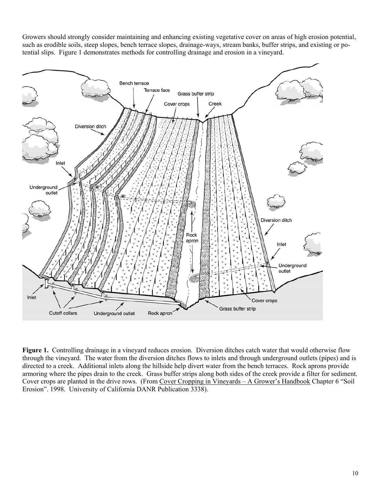Growers should strongly consider maintaining and enhancing existing vegetative cover on areas of high erosion potential, such as erodible soils, steep slopes, bench terrace slopes, drainage-ways, stream banks, buffer strips, and existing or potential slips. Figure 1 demonstrates methods for controlling drainage and erosion in a vineyard.



Figure 1. Controlling drainage in a vineyard reduces erosion. Diversion ditches catch water that would otherwise flow through the vineyard. The water from the diversion ditches flows to inlets and through underground outlets (pipes) and is directed to a creek. Additional inlets along the hillside help divert water from the bench terraces. Rock aprons provide armoring where the pipes drain to the creek. Grass buffer strips along both sides of the creek provide a filter for sediment. Cover crops are planted in the drive rows. (From Cover Cropping in Vineyards – A Grower's Handbook Chapter 6 "Soil Erosion". 1998. University of California DANR Publication 3338).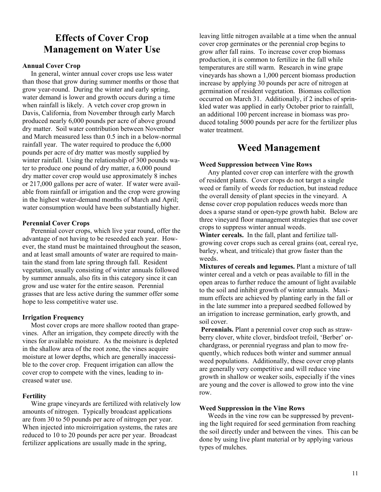## **Effects of Cover Crop Management on Water Use**

#### **Annual Cover Crop**

 In general, winter annual cover crops use less water than those that grow during summer months or those that grow year-round. During the winter and early spring, water demand is lower and growth occurs during a time when rainfall is likely. A vetch cover crop grown in Davis, California, from November through early March produced nearly 6,000 pounds per acre of above ground dry matter. Soil water contribution between November and March measured less than 0.5 inch in a below-normal rainfall year. The water required to produce the 6,000 pounds per acre of dry matter was mostly supplied by winter rainfall. Using the relationship of 300 pounds water to produce one pound of dry matter, a 6,000 pound dry matter cover crop would use approximately 8 inches or 217,000 gallons per acre of water. If water were available from rainfall or irrigation and the crop were growing in the highest water-demand months of March and April; water consumption would have been substantially higher.

#### **Perennial Cover Crops**

 Perennial cover crops, which live year round, offer the advantage of not having to be reseeded each year. However, the stand must be maintained throughout the season, and at least small amounts of water are required to maintain the stand from late spring through fall. Resident vegetation, usually consisting of winter annuals followed by summer annuals, also fits in this category since it can grow and use water for the entire season. Perennial grasses that are less active during the summer offer some hope to less competitive water use.

#### **Irrigation Frequency**

 Most cover crops are more shallow rooted than grapevines. After an irrigation, they compete directly with the vines for available moisture. As the moisture is depleted in the shallow area of the root zone, the vines acquire moisture at lower depths, which are generally inaccessible to the cover crop. Frequent irrigation can allow the cover crop to compete with the vines, leading to increased water use.

#### **Fertility**

 Wine grape vineyards are fertilized with relatively low amounts of nitrogen. Typically broadcast applications are from 30 to 50 pounds per acre of nitrogen per year. When injected into microirrigation systems, the rates are reduced to 10 to 20 pounds per acre per year. Broadcast fertilizer applications are usually made in the spring,

leaving little nitrogen available at a time when the annual cover crop germinates or the perennial crop begins to grow after fall rains. To increase cover crop biomass production, it is common to fertilize in the fall while temperatures are still warm. Research in wine grape vineyards has shown a 1,000 percent biomass production increase by applying 30 pounds per acre of nitrogen at germination of resident vegetation. Biomass collection occurred on March 31. Additionally, if 2 inches of sprinkled water was applied in early October prior to rainfall, an additional 100 percent increase in biomass was produced totaling 5000 pounds per acre for the fertilizer plus water treatment.

## **Weed Management**

#### **Weed Suppression between Vine Rows**

 Any planted cover crop can interfere with the growth of resident plants. Cover crops do not target a single weed or family of weeds for reduction, but instead reduce the overall density of plant species in the vineyard. A dense cover crop population reduces weeds more than does a sparse stand or open-type growth habit. Below are three vineyard floor management strategies that use cover crops to suppress winter annual weeds.

**Winter cereals.** In the fall, plant and fertilize tallgrowing cover crops such as cereal grains (oat, cereal rye, barley, wheat, and triticale) that grow faster than the weeds.

**Mixtures of cereals and legumes.** Plant a mixture of tall winter cereal and a vetch or peas available to fill in the open areas to further reduce the amount of light available to the soil and inhibit growth of winter annuals. Maximum effects are achieved by planting early in the fall or in the late summer into a prepared seedbed followed by an irrigation to increase germination, early growth, and soil cover.

**Perennials.** Plant a perennial cover crop such as strawberry clover, white clover, birdsfoot trefoil, 'Berber' orchardgrass, or perennial ryegrass and plan to mow frequently, which reduces both winter and summer annual weed populations. Additionally, these cover crop plants are generally very competitive and will reduce vine growth in shallow or weaker soils, especially if the vines are young and the cover is allowed to grow into the vine row.

#### **Weed Suppression in the Vine Rows**

 Weeds in the vine row can be suppressed by preventing the light required for seed germination from reaching the soil directly under and between the vines. This can be done by using live plant material or by applying various types of mulches.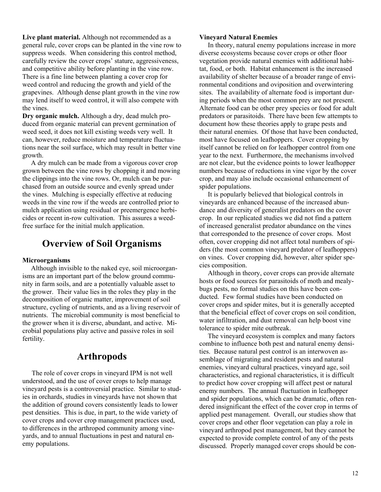**Live plant material.** Although not recommended as a general rule, cover crops can be planted in the vine row to suppress weeds. When considering this control method, carefully review the cover crops' stature, aggressiveness, and competitive ability before planting in the vine row. There is a fine line between planting a cover crop for weed control and reducing the growth and yield of the grapevines. Although dense plant growth in the vine row may lend itself to weed control, it will also compete with the vines.

**Dry organic mulch.** Although a dry, dead mulch produced from organic material can prevent germination of weed seed, it does not kill existing weeds very well. It can, however, reduce moisture and temperature fluctuations near the soil surface, which may result in better vine growth.

 A dry mulch can be made from a vigorous cover crop grown between the vine rows by chopping it and mowing the clippings into the vine rows. Or, mulch can be purchased from an outside source and evenly spread under the vines. Mulching is especially effective at reducing weeds in the vine row if the weeds are controlled prior to mulch application using residual or preemergence herbicides or recent in-row cultivation. This assures a weedfree surface for the initial mulch application.

## **Overview of Soil Organisms**

#### **Microorganisms**

 Although invisible to the naked eye, soil microorganisms are an important part of the below ground community in farm soils, and are a potentially valuable asset to the grower. Their value lies in the roles they play in the decomposition of organic matter, improvement of soil structure, cycling of nutrients, and as a living reservoir of nutrients. The microbial community is most beneficial to the grower when it is diverse, abundant, and active. Microbial populations play active and passive roles in soil fertility.

## **Arthropods**

 The role of cover crops in vineyard IPM is not well understood, and the use of cover crops to help manage vineyard pests is a controversial practice. Similar to studies in orchards, studies in vineyards have not shown that the addition of ground covers consistently leads to lower pest densities. This is due, in part, to the wide variety of cover crops and cover crop management practices used, to differences in the arthropod community among vineyards, and to annual fluctuations in pest and natural enemy populations.

#### **Vineyard Natural Enemies**

 In theory, natural enemy populations increase in more diverse ecosystems because cover crops or other floor vegetation provide natural enemies with additional habitat, food, or both. Habitat enhancement is the increased availability of shelter because of a broader range of environmental conditions and oviposition and overwintering sites. The availability of alternate food is important during periods when the most common prey are not present. Alternate food can be other prey species or food for adult predators or parasitoids. There have been few attempts to document how these theories apply to grape pests and their natural enemies. Of those that have been conducted, most have focused on leafhoppers. Cover cropping by itself cannot be relied on for leafhopper control from one year to the next. Furthermore, the mechanisms involved are not clear, but the evidence points to lower leafhopper numbers because of reductions in vine vigor by the cover crop, and may also include occasional enhancement of spider populations.

 It is popularly believed that biological controls in vineyards are enhanced because of the increased abundance and diversity of generalist predators on the cover crop. In our replicated studies we did not find a pattern of increased generalist predator abundance on the vines that corresponded to the presence of cover crops. Most often, cover cropping did not affect total numbers of spiders (the most common vineyard predator of leafhoppers) on vines. Cover cropping did, however, alter spider species composition.

 Although in theory, cover crops can provide alternate hosts or food sources for parasitoids of moth and mealybugs pests, no formal studies on this have been conducted. Few formal studies have been conducted on cover crops and spider mites, but it is generally accepted that the beneficial effect of cover crops on soil condition, water infiltration, and dust removal can help boost vine tolerance to spider mite outbreak.

 The vineyard ecosystem is complex and many factors combine to influence both pest and natural enemy densities. Because natural pest control is an interwoven assemblage of migrating and resident pests and natural enemies, vineyard cultural practices, vineyard age, soil characteristics, and regional characteristics, it is difficult to predict how cover cropping will affect pest or natural enemy numbers. The annual fluctuation in leafhopper and spider populations, which can be dramatic, often rendered insignificant the effect of the cover crop in terms of applied pest management. Overall, our studies show that cover crops and other floor vegetation can play a role in vineyard arthropod pest management, but they cannot be expected to provide complete control of any of the pests discussed. Properly managed cover crops should be con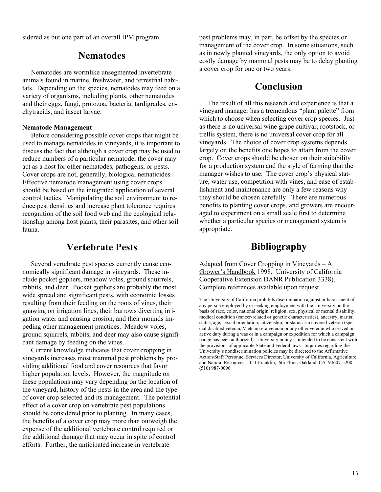sidered as but one part of an overall IPM program.

## **Nematodes**

 Nematodes are wormlike unsegmented invertebrate animals found in marine, freshwater, and terrestrial habitats. Depending on the species, nematodes may feed on a variety of organisms, including plants, other nematodes and their eggs, fungi, protozoa, bacteria, tardigrades, enchytraeids, and insect larvae.

#### **Nematode Management**

 Before considering possible cover crops that might be used to manage nematodes in vineyards, it is important to discuss the fact that although a cover crop may be used to reduce numbers of a particular nematode, the cover may act as a host for other nematodes, pathogens, or pests. Cover crops are not, generally, biological nematicides. Effective nematode management using cover crops should be based on the integrated application of several control tactics. Manipulating the soil environment to reduce pest densities and increase plant tolerance requires recognition of the soil food web and the ecological relationship among host plants, their parasites, and other soil fauna.

## **Vertebrate Pests**

 Several vertebrate pest species currently cause economically significant damage in vineyards. These include pocket gophers, meadow voles, ground squirrels, rabbits, and deer. Pocket gophers are probably the most wide spread and significant pests, with economic losses resulting from their feeding on the roots of vines, their gnawing on irrigation lines, their burrows diverting i rri gation water and causing erosion, and their mounds impeding other management practices. Meadow voles, ground squirrels, rabbits, and deer may also cause significant damage by feeding on the vines.

 Current knowledge indicates that cover cropping in vineyards increases most mammal pest problems by providing additional food and cover resources that favor higher population levels. However, the magnitude on these populations may vary depending on the location of the vineyard, history of the pests in the area and the type of cover crop selected and its management. The potential effect of a cover crop on vertebrate pest populations should be considered prior to planting. In many cases, the benefits of a cover crop may more than outweigh the expense of the additional vertebrate control required or the additional damage that may occur in spite of control efforts. Further, the anticipated increase in vertebrate

pest problems may, in part, be offset by the species or management of the cover crop. In some situations, such as in newly planted vineyards, the only option to avoid costly damage by mammal pests may be to delay planting a cover crop for one or two years.

## **Conclusion**

 The result of all this research and experience is that a vineyard manager has a tremendous "plant palette" from which to choose when selecting cover crop species. Just as there is no universal wine grape cultivar, rootstock, or trellis system, there is no universal cover crop for all vineyards. The choice of cover crop systems depends largely on the benefits one hopes to attain from the cover crop. Cover crops should be chosen on their suitability for a production system and the style of farming that the manager wishes to use. The cover crop's physical stature, water use, competition with vines, and ease of establishment and maintenance are only a few reasons why they should be chosen carefully. There are numerous benefits to planting cover crops, and growers are encouraged to experiment on a small scale first to determine whether a particular species or management system is appropriate.

## **Bibliography**

Adapted from Cover Cropping in Vineyards – A Grower's Handbook 1998. University of California Cooperative Extension DANR Publication 3338). Complete references available upon request.

The University of California prohibits discrimination against or harassment of any person employed by or seeking employment with the University on the basis of race, color, national origin, religion, sex, physical or mental disability, medical condition (cancer-related or genetic characteristics), ancestry, marital status, age, sexual orientation, citizenship, or status as a covered veteran (special disabled veteran, Vietnam-era veteran or any other veteran who served on active duty during a was or in a campaign or expedition for which a campaign badge has been authorized). University policy is intended to be consistent with the provisions of applicable State and Federal laws. Inquiries regarding the University's nondiscrimination policies may be directed to the Affirmative Action/Staff Personnel Services Director, University of California, Agriculture and Natural Resources, 1111 Franklin, 6th Floor, Oakland, CA 94607-5200 (510) 987-0096.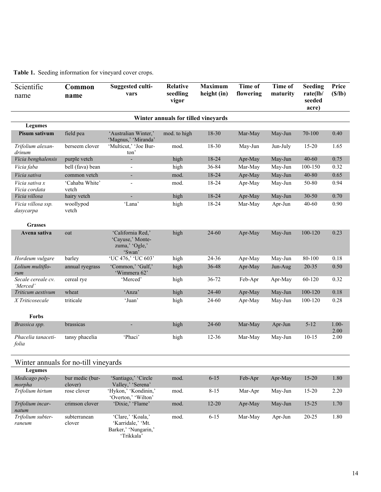#### **Table 1.** Seeding information for vineyard cover crops.

| Scientific<br>name                   | Common<br>name          | <b>Suggested culti-</b><br>vars                                   | <b>Relative</b><br>seedling<br>vigor | <b>Maximum</b><br>height (in) | Time of<br>flowering | Time of<br>maturity | <b>Seeding</b><br>rate(lb/<br>seeded<br>acre) | Price<br>(S/lb) |  |  |  |  |
|--------------------------------------|-------------------------|-------------------------------------------------------------------|--------------------------------------|-------------------------------|----------------------|---------------------|-----------------------------------------------|-----------------|--|--|--|--|
| Winter annuals for tilled vineyards  |                         |                                                                   |                                      |                               |                      |                     |                                               |                 |  |  |  |  |
| <b>Legumes</b>                       |                         |                                                                   |                                      |                               |                      |                     |                                               |                 |  |  |  |  |
| Pisum sativum                        | field pea               | 'Australian Winter,'<br>'Magnus,' 'Miranda'                       | mod. to high                         | 18-30                         | Mar-May              | May-Jun             | 70-100                                        | 0.40            |  |  |  |  |
| Trifolium alexan-<br>drinum          | berseem clover          | 'Multicut,' 'Joe Bur-<br>ton'                                     | mod.                                 | 18-30                         | May-Jun              | Jun-July            | $15 - 20$                                     | 1.65            |  |  |  |  |
| Vicia benghalensis                   | purple vetch            |                                                                   | high                                 | 18-24                         | Apr-May              | May-Jun             | $40 - 60$                                     | 0.75            |  |  |  |  |
| Vicia faba                           | bell (fava) bean        | $\overline{a}$                                                    | high                                 | 36-84                         | Mar-May              | May-Jun             | 100-150                                       | 0.32            |  |  |  |  |
| Vicia sativa                         | common vetch            | ٠                                                                 | mod.                                 | 18-24                         | Apr-May              | May-Jun             | 40-80                                         | 0.65            |  |  |  |  |
| Vicia sativa x<br>Vicia cordata      | 'Cahaba White'<br>vetch | $\overline{\phantom{0}}$                                          | mod.                                 | 18-24                         | Apr-May              | May-Jun             | 50-80                                         | 0.94            |  |  |  |  |
| Vicia villosa                        | hairy vetch             | ÷                                                                 | high                                 | 18-24                         | Apr-May              | May-Jun             | $30 - 50$                                     | 0.70            |  |  |  |  |
| Vicia villosa ssp.<br>dasycarpa      | woollypod<br>vetch      | 'Lana'                                                            | high                                 | 18-24                         | Mar-May              | Apr-Jun             | 40-60                                         | 0.90            |  |  |  |  |
| <b>Grasses</b>                       |                         |                                                                   |                                      |                               |                      |                     |                                               |                 |  |  |  |  |
| Avena sativa                         | oat                     | 'California Red,'<br>'Cayuse,' Monte-<br>zuma,' 'Ogle,'<br>'Swan' | high                                 | 24-60                         | Apr-May              | May-Jun             | 100-120                                       | 0.23            |  |  |  |  |
| Hordeum vulgare                      | barley                  | 'UC 476,' 'UC 603'                                                | high                                 | 24-36                         | Apr-May              | May-Jun             | 80-100                                        | 0.18            |  |  |  |  |
| Lolium multiflo-<br>rum              | annual ryegrass         | 'Common,' 'Gulf,'<br>'Wimmera 62'                                 | high                                 | 36-48                         | Apr-May              | Jun-Aug             | 20-35                                         | 0.50            |  |  |  |  |
| Secale cereale cv.<br>'Merced'       | cereal rye              | 'Merced'                                                          | high                                 | $36 - 72$                     | Feb-Apr              | Apr-May             | 60-120                                        | 0.32            |  |  |  |  |
| Triticum aestivum                    | wheat                   | 'Anza'                                                            | high                                 | 24-40                         | Apr-May              | May-Jun             | 100-120                                       | 0.18            |  |  |  |  |
| X Triticosecale<br><b>Forbs</b>      | triticale               | 'Juan'                                                            | high                                 | 24-60                         | Apr-May              | May-Jun             | 100-120                                       | 0.28            |  |  |  |  |
| Brassica spp.                        | brassicas               |                                                                   | high                                 | 24-60                         | Mar-May              | Apr-Jun             | $5 - 12$                                      | $1.00 -$        |  |  |  |  |
|                                      |                         |                                                                   |                                      |                               |                      |                     |                                               | 2.00            |  |  |  |  |
| Phacelia tanaceti-<br>folia          | tansy phacelia          | 'Phaci'                                                           | high                                 | $12 - 36$                     | Mar-May              | May-Jun             | $10 - 15$                                     | 2.00            |  |  |  |  |
| Winter annuals for no-till vineyards |                         |                                                                   |                                      |                               |                      |                     |                                               |                 |  |  |  |  |
| <b>Legumes</b><br>Medicago poly-     | bur medic (bur-         | 'Santiago,' 'Circle                                               | mod.                                 | $6 - 15$                      | Feb-Apr              | Apr-May             | $15 - 20$                                     | 1.80            |  |  |  |  |
| morpha                               | clover)                 | Valley,' 'Serena'                                                 |                                      |                               |                      |                     |                                               |                 |  |  |  |  |
| Trifolium hirtum                     | rose clover             | 'Hykon,' 'Kondinin,'<br>'Overton,' 'Wilton'                       | mod.                                 | $8 - 15$                      | Mar-Apr              | May-Jun             | $15 - 20$                                     | 2.20            |  |  |  |  |
| Trifolium incar-<br>natum            | crimson clover          | 'Dixie,' 'Flame'                                                  | mod.                                 | $12 - 20$                     | Apr-May              | May-Jun             | $15 - 25$                                     | 1.70            |  |  |  |  |
| Trifolium subter-<br>raneum          | subterranean<br>clover  | 'Clare,' 'Koala,'<br>'Karridale,' 'Mt.<br>Barker,' 'Nungarin,'    | mod.                                 | $6 - 15$                      | Mar-May              | Apr-Jun             | $20 - 25$                                     | 1.80            |  |  |  |  |

'Trikkala'